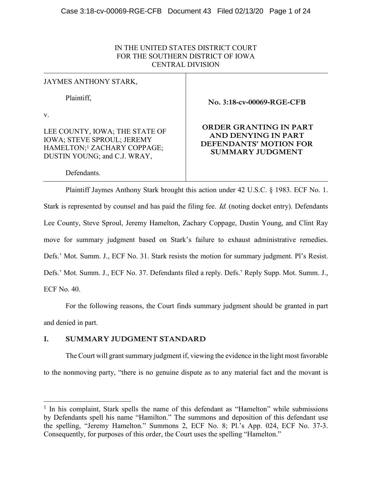# IN THE UNITED STATES DISTRICT COURT FOR THE SOUTHERN DISTRICT OF IOWA CENTRAL DIVISION

| JAYMES ANTHONY STARK,                                                                                                                          |                                                                                             |
|------------------------------------------------------------------------------------------------------------------------------------------------|---------------------------------------------------------------------------------------------|
| Plaintiff.                                                                                                                                     | No. 3:18-cv-00069-RGE-CFB                                                                   |
| $V_{-}$                                                                                                                                        |                                                                                             |
| LEE COUNTY, IOWA; THE STATE OF<br><b>IOWA; STEVE SPROUL; JEREMY</b><br>HAMELTON; <sup>1</sup> ZACHARY COPPAGE;<br>DUSTIN YOUNG; and C.J. WRAY, | ORDER GRANTING IN PART<br>AND DENYING IN PART<br>DEFENDANTS' MOTION FOR<br>SUMMARY JUDGMENT |
| Defendants.                                                                                                                                    |                                                                                             |

Plaintiff Jaymes Anthony Stark brought this action under 42 U.S.C. § 1983. ECF No. 1. Stark is represented by counsel and has paid the filing fee. *Id.* (noting docket entry). Defendants Lee County, Steve Sproul, Jeremy Hamelton, Zachary Coppage, Dustin Young, and Clint Ray move for summary judgment based on Stark's failure to exhaust administrative remedies. Defs.' Mot. Summ. J., ECF No. 31. Stark resists the motion for summary judgment. Pl's Resist. Defs.' Mot. Summ. J., ECF No. 37. Defendants filed a reply. Defs.' Reply Supp. Mot. Summ. J., ECF No. 40.

For the following reasons, the Court finds summary judgment should be granted in part and denied in part.

# **I. SUMMARY JUDGMENT STANDARD**

 $\overline{a}$ 

The Court will grant summary judgment if, viewing the evidence in the light most favorable to the nonmoving party, "there is no genuine dispute as to any material fact and the movant is

<sup>&</sup>lt;sup>1</sup> In his complaint, Stark spells the name of this defendant as "Hamelton" while submissions by Defendants spell his name "Hamilton." The summons and deposition of this defendant use the spelling, "Jeremy Hamelton." Summons 2, ECF No. 8; Pl.'s App. 024, ECF No. 37-3. Consequently, for purposes of this order, the Court uses the spelling "Hamelton."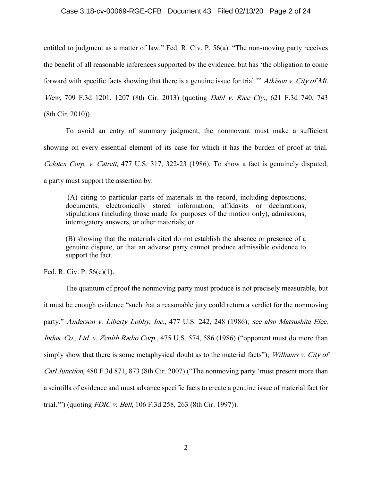## Case 3:18-cv-00069-RGE-CFB Document 43 Filed 02/13/20 Page 2 of 24

entitled to judgment as a matter of law." Fed. R. Civ. P. 56(a). "The non-moving party receives the benefit of all reasonable inferences supported by the evidence, but has 'the obligation to come forward with specific facts showing that there is a genuine issue for trial.'" Atkison v. City of Mt. View, 709 F.3d 1201, 1207 (8th Cir. 2013) (quoting Dahl v. Rice Cty., 621 F.3d 740, 743 (8th Cir. 2010)).

To avoid an entry of summary judgment, the nonmovant must make a sufficient showing on every essential element of its case for which it has the burden of proof at trial. Celotex Corp. v. Catrett, 477 U.S. 317, 322-23 (1986). To show a fact is genuinely disputed, a party must support the assertion by:

(A) citing to particular parts of materials in the record, including depositions, documents, electronically stored information, affidavits or declarations, stipulations (including those made for purposes of the motion only), admissions, interrogatory answers, or other materials; or

(B) showing that the materials cited do not establish the absence or presence of a genuine dispute, or that an adverse party cannot produce admissible evidence to support the fact.

Fed. R. Civ. P. 56(c)(1).

The quantum of proof the nonmoving party must produce is not precisely measurable, but it must be enough evidence "such that a reasonable jury could return a verdict for the nonmoving party." Anderson v. Liberty Lobby, Inc., 477 U.S. 242, 248 (1986); see also Matsushita Elec. Indus. Co., Ltd. v. Zenith Radio Corp., 475 U.S. 574, 586 (1986) ("opponent must do more than simply show that there is some metaphysical doubt as to the material facts"); Williams v. City of Carl Junction, 480 F.3d 871, 873 (8th Cir. 2007) ("The nonmoving party 'must present more than a scintilla of evidence and must advance specific facts to create a genuine issue of material fact for trial.'") (quoting FDIC v. Bell, 106 F.3d 258, 263 (8th Cir. 1997)).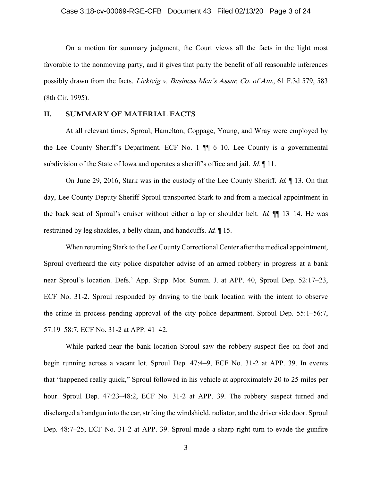## Case 3:18-cv-00069-RGE-CFB Document 43 Filed 02/13/20 Page 3 of 24

On a motion for summary judgment, the Court views all the facts in the light most favorable to the nonmoving party, and it gives that party the benefit of all reasonable inferences possibly drawn from the facts. Lickteig v. Business Men's Assur. Co. of Am., 61 F.3d 579, 583 (8th Cir. 1995).

## **II. SUMMARY OF MATERIAL FACTS**

At all relevant times, Sproul, Hamelton, Coppage, Young, and Wray were employed by the Lee County Sheriff's Department. ECF No. 1 ¶¶ 6–10. Lee County is a governmental subdivision of the State of Iowa and operates a sheriff's office and jail. *Id.* 11.

On June 29, 2016, Stark was in the custody of the Lee County Sheriff. *Id.* 13. On that day, Lee County Deputy Sheriff Sproul transported Stark to and from a medical appointment in the back seat of Sproul's cruiser without either a lap or shoulder belt. *Id.*  $\P$  13–14. He was restrained by leg shackles, a belly chain, and handcuffs. *Id.* 15.

When returning Stark to the Lee County Correctional Center after the medical appointment, Sproul overheard the city police dispatcher advise of an armed robbery in progress at a bank near Sproul's location. Defs.' App. Supp. Mot. Summ. J. at APP. 40, Sproul Dep. 52:17–23, ECF No. 31-2. Sproul responded by driving to the bank location with the intent to observe the crime in process pending approval of the city police department. Sproul Dep. 55:1–56:7, 57:19–58:7, ECF No. 31-2 at APP. 41–42.

While parked near the bank location Sproul saw the robbery suspect flee on foot and begin running across a vacant lot. Sproul Dep. 47:4–9, ECF No. 31-2 at APP. 39. In events that "happened really quick," Sproul followed in his vehicle at approximately 20 to 25 miles per hour. Sproul Dep. 47:23–48:2, ECF No. 31-2 at APP. 39. The robbery suspect turned and discharged a handgun into the car, striking the windshield, radiator, and the driver side door. Sproul Dep. 48:7–25, ECF No. 31-2 at APP. 39. Sproul made a sharp right turn to evade the gunfire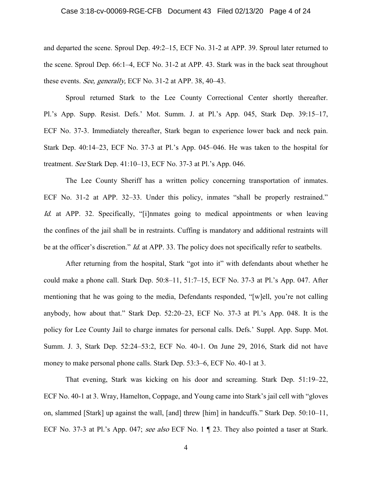## Case 3:18-cv-00069-RGE-CFB Document 43 Filed 02/13/20 Page 4 of 24

and departed the scene. Sproul Dep. 49:2–15, ECF No. 31-2 at APP. 39. Sproul later returned to the scene. Sproul Dep. 66:1–4, ECF No. 31-2 at APP. 43. Stark was in the back seat throughout these events. See, generally, ECF No. 31-2 at APP. 38, 40–43.

Sproul returned Stark to the Lee County Correctional Center shortly thereafter. Pl.'s App. Supp. Resist. Defs.' Mot. Summ. J. at Pl.'s App. 045, Stark Dep. 39:15–17, ECF No. 37-3. Immediately thereafter, Stark began to experience lower back and neck pain. Stark Dep. 40:14–23, ECF No. 37-3 at Pl.'s App. 045–046. He was taken to the hospital for treatment. See Stark Dep. 41:10–13, ECF No. 37-3 at Pl.'s App. 046.

The Lee County Sheriff has a written policy concerning transportation of inmates. ECF No. 31-2 at APP. 32–33. Under this policy, inmates "shall be properly restrained." Id. at APP. 32. Specifically, "[i]nmates going to medical appointments or when leaving the confines of the jail shall be in restraints. Cuffing is mandatory and additional restraints will be at the officer's discretion." *Id.* at APP. 33. The policy does not specifically refer to seatbelts.

After returning from the hospital, Stark "got into it" with defendants about whether he could make a phone call. Stark Dep. 50:8–11, 51:7–15, ECF No. 37-3 at Pl.'s App. 047. After mentioning that he was going to the media, Defendants responded, "[w]ell, you're not calling anybody, how about that." Stark Dep. 52:20–23, ECF No. 37-3 at Pl.'s App. 048. It is the policy for Lee County Jail to charge inmates for personal calls. Defs.' Suppl. App. Supp. Mot. Summ. J. 3, Stark Dep. 52:24–53:2, ECF No. 40-1. On June 29, 2016, Stark did not have money to make personal phone calls. Stark Dep. 53:3–6, ECF No. 40-1 at 3.

That evening, Stark was kicking on his door and screaming. Stark Dep. 51:19–22, ECF No. 40-1 at 3. Wray, Hamelton, Coppage, and Young came into Stark's jail cell with "gloves on, slammed [Stark] up against the wall, [and] threw [him] in handcuffs." Stark Dep. 50:10–11, ECF No. 37-3 at Pl.'s App. 047; see also ECF No. 1 ¶ 23. They also pointed a taser at Stark.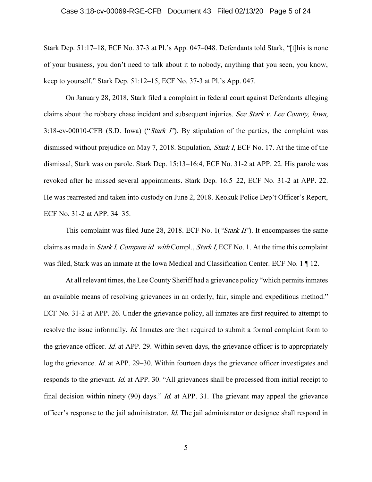#### Case 3:18-cv-00069-RGE-CFB Document 43 Filed 02/13/20 Page 5 of 24

Stark Dep. 51:17–18, ECF No. 37-3 at Pl.'s App. 047–048. Defendants told Stark, "[t]his is none of your business, you don't need to talk about it to nobody, anything that you seen, you know, keep to yourself." Stark Dep. 51:12–15, ECF No. 37-3 at Pl.'s App. 047.

On January 28, 2018, Stark filed a complaint in federal court against Defendants alleging claims about the robbery chase incident and subsequent injuries. See Stark v. Lee County, Iowa, 3:18-cv-00010-CFB (S.D. Iowa) ("Stark I"). By stipulation of the parties, the complaint was dismissed without prejudice on May 7, 2018. Stipulation, Stark I, ECF No. 17. At the time of the dismissal, Stark was on parole. Stark Dep. 15:13–16:4, ECF No. 31-2 at APP. 22. His parole was revoked after he missed several appointments. Stark Dep. 16:5–22, ECF No. 31-2 at APP. 22. He was rearrested and taken into custody on June 2, 2018. Keokuk Police Dep't Officer's Report, ECF No. 31-2 at APP. 34–35.

This complaint was filed June 28, 2018. ECF No. 1 ("Stark II"). It encompasses the same claims as made in Stark I. Compare id. with Compl., Stark I, ECF No. 1. At the time this complaint was filed, Stark was an inmate at the Iowa Medical and Classification Center. ECF No. 1 ¶ 12.

At all relevant times, the Lee County Sheriff had a grievance policy "which permits inmates an available means of resolving grievances in an orderly, fair, simple and expeditious method." ECF No. 31-2 at APP. 26. Under the grievance policy, all inmates are first required to attempt to resolve the issue informally. *Id.* Inmates are then required to submit a formal complaint form to the grievance officer. Id. at APP. 29. Within seven days, the grievance officer is to appropriately log the grievance. Id. at APP. 29–30. Within fourteen days the grievance officer investigates and responds to the grievant. Id. at APP. 30. "All grievances shall be processed from initial receipt to final decision within ninety (90) days." *Id.* at APP. 31. The grievant may appeal the grievance officer's response to the jail administrator. Id. The jail administrator or designee shall respond in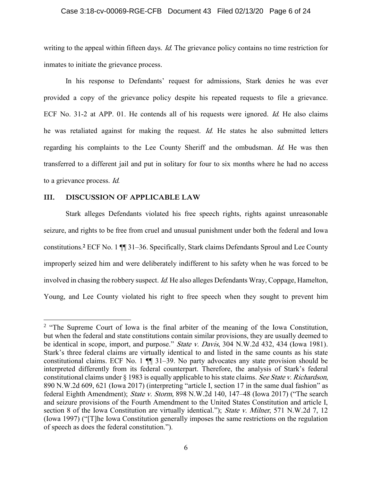## Case 3:18-cv-00069-RGE-CFB Document 43 Filed 02/13/20 Page 6 of 24

writing to the appeal within fifteen days. *Id*. The grievance policy contains no time restriction for inmates to initiate the grievance process.

In his response to Defendants' request for admissions, Stark denies he was ever provided a copy of the grievance policy despite his repeated requests to file a grievance. ECF No. 31-2 at APP. 01. He contends all of his requests were ignored. *Id.* He also claims he was retaliated against for making the request. Id. He states he also submitted letters regarding his complaints to the Lee County Sheriff and the ombudsman. Id. He was then transferred to a different jail and put in solitary for four to six months where he had no access to a grievance process. Id.

## **III. DISCUSSION OF APPLICABLE LAW**

 $\overline{a}$ 

Stark alleges Defendants violated his free speech rights, rights against unreasonable seizure, and rights to be free from cruel and unusual punishment under both the federal and Iowa constitutions.**<sup>2</sup>** ECF No. 1 ¶¶ 31–36. Specifically, Stark claims Defendants Sproul and Lee County improperly seized him and were deliberately indifferent to his safety when he was forced to be involved in chasing the robbery suspect. *Id*. He also alleges Defendants Wray, Coppage, Hamelton, Young, and Lee County violated his right to free speech when they sought to prevent him

<sup>&</sup>lt;sup>2</sup> "The Supreme Court of Iowa is the final arbiter of the meaning of the Iowa Constitution, but when the federal and state constitutions contain similar provisions, they are usually deemed to be identical in scope, import, and purpose." State v. Davis, 304 N.W.2d 432, 434 (Iowa 1981). Stark's three federal claims are virtually identical to and listed in the same counts as his state constitutional claims. ECF No. 1 ¶¶ 31–39. No party advocates any state provision should be interpreted differently from its federal counterpart. Therefore, the analysis of Stark's federal constitutional claims under § 1983 is equally applicable to his state claims. See State v. Richardson, 890 N.W.2d 609, 621 (Iowa 2017) (interpreting "article I, section 17 in the same dual fashion" as federal Eighth Amendment); State v. Storm, 898 N.W.2d 140, 147–48 (Iowa 2017) ("The search and seizure provisions of the Fourth Amendment to the United States Constitution and article I, section 8 of the Iowa Constitution are virtually identical."); State v. Milner, 571 N.W.2d 7, 12 (Iowa 1997) ("[T]he Iowa Constitution generally imposes the same restrictions on the regulation of speech as does the federal constitution.").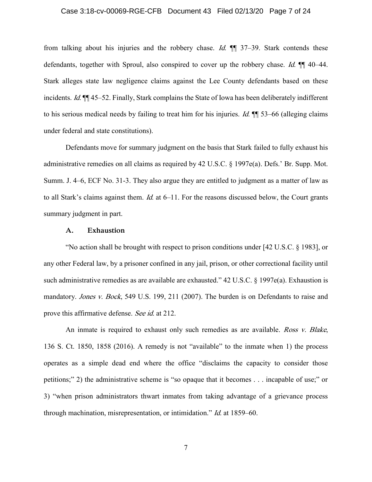## Case 3:18-cv-00069-RGE-CFB Document 43 Filed 02/13/20 Page 7 of 24

from talking about his injuries and the robbery chase. Id.  $\mathbb{I}$  37–39. Stark contends these defendants, together with Sproul, also conspired to cover up the robbery chase. *Id.*  $\P$  40–44. Stark alleges state law negligence claims against the Lee County defendants based on these incidents. Id.  $\mathbb{I}$  ¶ 45–52. Finally, Stark complains the State of Iowa has been deliberately indifferent to his serious medical needs by failing to treat him for his injuries. *Id.*  $\P$  53–66 (alleging claims under federal and state constitutions).

Defendants move for summary judgment on the basis that Stark failed to fully exhaust his administrative remedies on all claims as required by 42 U.S.C. § 1997e(a). Defs.' Br. Supp. Mot. Summ. J. 4–6, ECF No. 31-3. They also argue they are entitled to judgment as a matter of law as to all Stark's claims against them. *Id.* at 6–11. For the reasons discussed below, the Court grants summary judgment in part.

## **A. Exhaustion**

"No action shall be brought with respect to prison conditions under [42 U.S.C. § 1983], or any other Federal law, by a prisoner confined in any jail, prison, or other correctional facility until such administrative remedies as are available are exhausted." 42 U.S.C. § 1997e(a). Exhaustion is mandatory. Jones v. Bock, 549 U.S. 199, 211 (2007). The burden is on Defendants to raise and prove this affirmative defense. See id. at 212.

An inmate is required to exhaust only such remedies as are available. *Ross v. Blake*, 136 S. Ct. 1850, 1858 (2016). A remedy is not "available" to the inmate when 1) the process operates as a simple dead end where the office "disclaims the capacity to consider those petitions;" 2) the administrative scheme is "so opaque that it becomes . . . incapable of use;" or 3) "when prison administrators thwart inmates from taking advantage of a grievance process through machination, misrepresentation, or intimidation." Id. at 1859–60.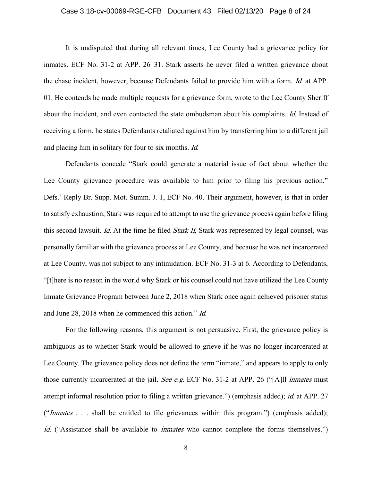## Case 3:18-cv-00069-RGE-CFB Document 43 Filed 02/13/20 Page 8 of 24

It is undisputed that during all relevant times, Lee County had a grievance policy for inmates. ECF No. 31-2 at APP. 26–31. Stark asserts he never filed a written grievance about the chase incident, however, because Defendants failed to provide him with a form. Id. at APP. 01. He contends he made multiple requests for a grievance form, wrote to the Lee County Sheriff about the incident, and even contacted the state ombudsman about his complaints. Id. Instead of receiving a form, he states Defendants retaliated against him by transferring him to a different jail and placing him in solitary for four to six months. Id.

Defendants concede "Stark could generate a material issue of fact about whether the Lee County grievance procedure was available to him prior to filing his previous action." Defs.' Reply Br. Supp. Mot. Summ. J. 1, ECF No. 40. Their argument, however, is that in order to satisfy exhaustion, Stark was required to attempt to use the grievance process again before filing this second lawsuit. Id. At the time he filed *Stark II*, Stark was represented by legal counsel, was personally familiar with the grievance process at Lee County, and because he was not incarcerated at Lee County, was not subject to any intimidation. ECF No. 31-3 at 6. According to Defendants, "[t]here is no reason in the world why Stark or his counsel could not have utilized the Lee County Inmate Grievance Program between June 2, 2018 when Stark once again achieved prisoner status and June 28, 2018 when he commenced this action." Id.

For the following reasons, this argument is not persuasive. First, the grievance policy is ambiguous as to whether Stark would be allowed to grieve if he was no longer incarcerated at Lee County. The grievance policy does not define the term "inmate," and appears to apply to only those currently incarcerated at the jail. See e.g. ECF No. 31-2 at APP. 26 ("[A]ll *inmates* must attempt informal resolution prior to filing a written grievance.") (emphasis added); id. at APP. 27 (" $Inmates \dots$  shall be entitled to file grievances within this program.") (emphasis added); id. ("Assistance shall be available to *inmates* who cannot complete the forms themselves.")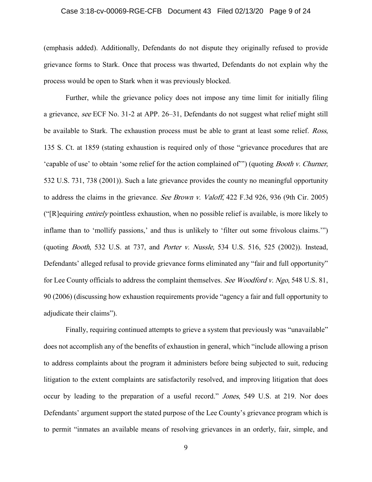## Case 3:18-cv-00069-RGE-CFB Document 43 Filed 02/13/20 Page 9 of 24

(emphasis added). Additionally, Defendants do not dispute they originally refused to provide grievance forms to Stark. Once that process was thwarted, Defendants do not explain why the process would be open to Stark when it was previously blocked.

Further, while the grievance policy does not impose any time limit for initially filing a grievance, see ECF No. 31-2 at APP. 26–31, Defendants do not suggest what relief might still be available to Stark. The exhaustion process must be able to grant at least some relief. *Ross*, 135 S. Ct. at 1859 (stating exhaustion is required only of those "grievance procedures that are 'capable of use' to obtain 'some relief for the action complained of'") (quoting Booth v. Churner, 532 U.S. 731, 738 (2001)). Such a late grievance provides the county no meaningful opportunity to address the claims in the grievance. See Brown v. Valoff, 422 F.3d 926, 936 (9th Cir. 2005) ("[R]equiring entirely pointless exhaustion, when no possible relief is available, is more likely to inflame than to 'mollify passions,' and thus is unlikely to 'filter out some frivolous claims.'") (quoting Booth, 532 U.S. at 737, and Porter v. Nussle, 534 U.S. 516, 525 (2002)). Instead, Defendants' alleged refusal to provide grievance forms eliminated any "fair and full opportunity" for Lee County officials to address the complaint themselves. See Woodford v. Ngo, 548 U.S. 81, 90 (2006) (discussing how exhaustion requirements provide "agency a fair and full opportunity to adjudicate their claims").

Finally, requiring continued attempts to grieve a system that previously was "unavailable" does not accomplish any of the benefits of exhaustion in general, which "include allowing a prison to address complaints about the program it administers before being subjected to suit, reducing litigation to the extent complaints are satisfactorily resolved, and improving litigation that does occur by leading to the preparation of a useful record." Jones, 549 U.S. at 219. Nor does Defendants' argument support the stated purpose of the Lee County's grievance program which is to permit "inmates an available means of resolving grievances in an orderly, fair, simple, and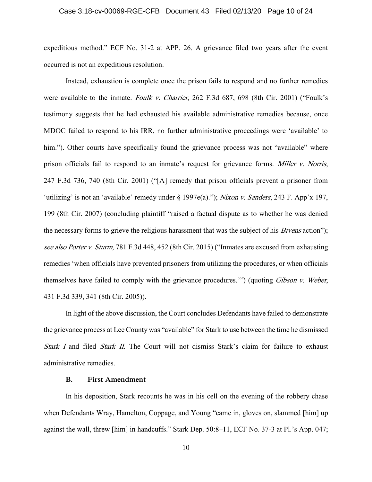## Case 3:18-cv-00069-RGE-CFB Document 43 Filed 02/13/20 Page 10 of 24

expeditious method." ECF No. 31-2 at APP. 26. A grievance filed two years after the event occurred is not an expeditious resolution.

Instead, exhaustion is complete once the prison fails to respond and no further remedies were available to the inmate. Foulk v. Charrier, 262 F.3d 687, 698 (8th Cir. 2001) ("Foulk's testimony suggests that he had exhausted his available administrative remedies because, once MDOC failed to respond to his IRR, no further administrative proceedings were 'available' to him."). Other courts have specifically found the grievance process was not "available" where prison officials fail to respond to an inmate's request for grievance forms. Miller v. Norris, 247 F.3d 736, 740 (8th Cir. 2001) ("[A] remedy that prison officials prevent a prisoner from 'utilizing' is not an 'available' remedy under § 1997e(a)."); Nixon v. Sanders, 243 F. App'x 197, 199 (8th Cir. 2007) (concluding plaintiff "raised a factual dispute as to whether he was denied the necessary forms to grieve the religious harassment that was the subject of his *Bivens* action"); see also Porter v. Sturm, 781 F.3d 448, 452 (8th Cir. 2015) ("Inmates are excused from exhausting remedies 'when officials have prevented prisoners from utilizing the procedures, or when officials themselves have failed to comply with the grievance procedures.'") (quoting Gibson v. Weber, 431 F.3d 339, 341 (8th Cir. 2005)).

In light of the above discussion, the Court concludes Defendants have failed to demonstrate the grievance process at Lee County was "available" for Stark to use between the time he dismissed Stark I and filed Stark II. The Court will not dismiss Stark's claim for failure to exhaust administrative remedies.

## **B. First Amendment**

In his deposition, Stark recounts he was in his cell on the evening of the robbery chase when Defendants Wray, Hamelton, Coppage, and Young "came in, gloves on, slammed [him] up against the wall, threw [him] in handcuffs." Stark Dep. 50:8–11, ECF No. 37-3 at Pl.'s App. 047;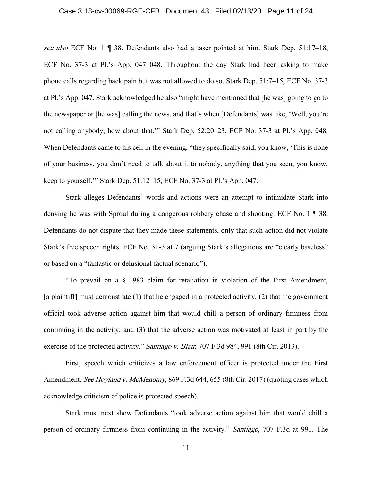## Case 3:18-cv-00069-RGE-CFB Document 43 Filed 02/13/20 Page 11 of 24

see also ECF No. 1 ¶ 38. Defendants also had a taser pointed at him. Stark Dep. 51:17-18, ECF No. 37-3 at Pl.'s App. 047–048. Throughout the day Stark had been asking to make phone calls regarding back pain but was not allowed to do so. Stark Dep. 51:7–15, ECF No. 37-3 at Pl.'s App. 047. Stark acknowledged he also "might have mentioned that [he was] going to go to the newspaper or [he was] calling the news, and that's when [Defendants] was like, 'Well, you're not calling anybody, how about that.'" Stark Dep. 52:20–23, ECF No. 37-3 at Pl.'s App. 048. When Defendants came to his cell in the evening, "they specifically said, you know, 'This is none of your business, you don't need to talk about it to nobody, anything that you seen, you know, keep to yourself.'" Stark Dep. 51:12–15, ECF No. 37-3 at Pl.'s App. 047.

Stark alleges Defendants' words and actions were an attempt to intimidate Stark into denying he was with Sproul during a dangerous robbery chase and shooting. ECF No. 1 ¶ 38. Defendants do not dispute that they made these statements, only that such action did not violate Stark's free speech rights. ECF No. 31-3 at 7 (arguing Stark's allegations are "clearly baseless" or based on a "fantastic or delusional factual scenario").

"To prevail on a § 1983 claim for retaliation in violation of the First Amendment, [a plaintiff] must demonstrate (1) that he engaged in a protected activity; (2) that the government official took adverse action against him that would chill a person of ordinary firmness from continuing in the activity; and (3) that the adverse action was motivated at least in part by the exercise of the protected activity." *Santiago v. Blair*, 707 F.3d 984, 991 (8th Cir. 2013).

First, speech which criticizes a law enforcement officer is protected under the First Amendment. See Hoyland v. McMenomy, 869 F.3d 644, 655 (8th Cir. 2017) (quoting cases which acknowledge criticism of police is protected speech).

Stark must next show Defendants "took adverse action against him that would chill a person of ordinary firmness from continuing in the activity." Santiago, 707 F.3d at 991. The

11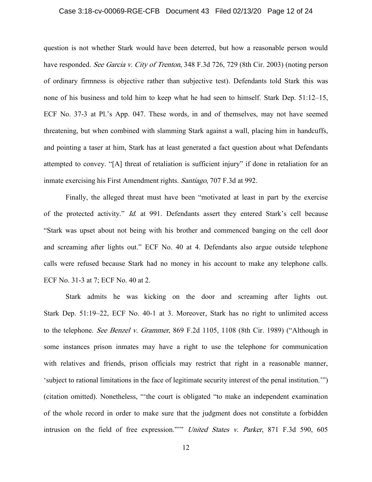## Case 3:18-cv-00069-RGE-CFB Document 43 Filed 02/13/20 Page 12 of 24

question is not whether Stark would have been deterred, but how a reasonable person would have responded. See Garcia v. City of Trenton, 348 F.3d 726, 729 (8th Cir. 2003) (noting person of ordinary firmness is objective rather than subjective test). Defendants told Stark this was none of his business and told him to keep what he had seen to himself. Stark Dep. 51:12–15, ECF No. 37-3 at Pl.'s App. 047. These words, in and of themselves, may not have seemed threatening, but when combined with slamming Stark against a wall, placing him in handcuffs, and pointing a taser at him, Stark has at least generated a fact question about what Defendants attempted to convey. "[A] threat of retaliation is sufficient injury" if done in retaliation for an inmate exercising his First Amendment rights. Santiago, 707 F.3d at 992.

Finally, the alleged threat must have been "motivated at least in part by the exercise of the protected activity." Id. at 991. Defendants assert they entered Stark's cell because "Stark was upset about not being with his brother and commenced banging on the cell door and screaming after lights out." ECF No. 40 at 4. Defendants also argue outside telephone calls were refused because Stark had no money in his account to make any telephone calls. ECF No. 31-3 at 7; ECF No. 40 at 2.

Stark admits he was kicking on the door and screaming after lights out. Stark Dep. 51:19–22, ECF No. 40-1 at 3. Moreover, Stark has no right to unlimited access to the telephone. See Benzel v. Grammer, 869 F.2d 1105, 1108 (8th Cir. 1989) ("Although in some instances prison inmates may have a right to use the telephone for communication with relatives and friends, prison officials may restrict that right in a reasonable manner, 'subject to rational limitations in the face of legitimate security interest of the penal institution.'") (citation omitted). Nonetheless, "'the court is obligated "to make an independent examination of the whole record in order to make sure that the judgment does not constitute a forbidden intrusion on the field of free expression."'" United States v. Parker, 871 F.3d 590, 605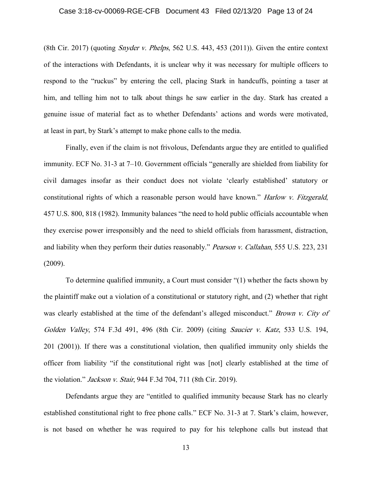## Case 3:18-cv-00069-RGE-CFB Document 43 Filed 02/13/20 Page 13 of 24

(8th Cir. 2017) (quoting *Snyder v. Phelps*, 562 U.S. 443, 453 (2011)). Given the entire context of the interactions with Defendants, it is unclear why it was necessary for multiple officers to respond to the "ruckus" by entering the cell, placing Stark in handcuffs, pointing a taser at him, and telling him not to talk about things he saw earlier in the day. Stark has created a genuine issue of material fact as to whether Defendants' actions and words were motivated, at least in part, by Stark's attempt to make phone calls to the media.

Finally, even if the claim is not frivolous, Defendants argue they are entitled to qualified immunity. ECF No. 31-3 at 7–10. Government officials "generally are shielded from liability for civil damages insofar as their conduct does not violate 'clearly established' statutory or constitutional rights of which a reasonable person would have known." *Harlow v. Fitzgerald*, 457 U.S. 800, 818 (1982). Immunity balances "the need to hold public officials accountable when they exercise power irresponsibly and the need to shield officials from harassment, distraction, and liability when they perform their duties reasonably." Pearson v. Callahan, 555 U.S. 223, 231 (2009).

To determine qualified immunity, a Court must consider "(1) whether the facts shown by the plaintiff make out a violation of a constitutional or statutory right, and (2) whether that right was clearly established at the time of the defendant's alleged misconduct." Brown v. City of Golden Valley, 574 F.3d 491, 496 (8th Cir. 2009) (citing Saucier v. Katz, 533 U.S. 194, 201 (2001)). If there was a constitutional violation, then qualified immunity only shields the officer from liability "if the constitutional right was [not] clearly established at the time of the violation." Jackson v. Stair, 944 F.3d 704, 711 (8th Cir. 2019).

Defendants argue they are "entitled to qualified immunity because Stark has no clearly established constitutional right to free phone calls." ECF No. 31-3 at 7. Stark's claim, however, is not based on whether he was required to pay for his telephone calls but instead that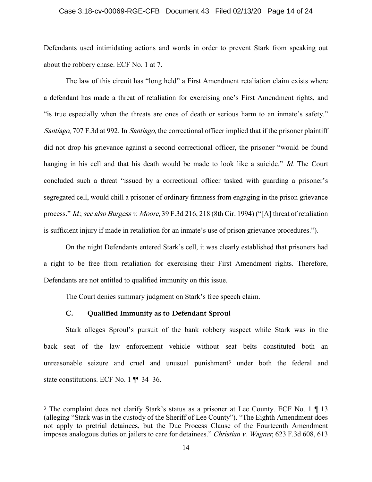## Case 3:18-cv-00069-RGE-CFB Document 43 Filed 02/13/20 Page 14 of 24

Defendants used intimidating actions and words in order to prevent Stark from speaking out about the robbery chase. ECF No. 1 at 7.

The law of this circuit has "long held" a First Amendment retaliation claim exists where a defendant has made a threat of retaliation for exercising one's First Amendment rights, and "is true especially when the threats are ones of death or serious harm to an inmate's safety." Santiago, 707 F.3d at 992. In Santiago, the correctional officer implied that if the prisoner plaintiff did not drop his grievance against a second correctional officer, the prisoner "would be found hanging in his cell and that his death would be made to look like a suicide." Id. The Court concluded such a threat "issued by a correctional officer tasked with guarding a prisoner's segregated cell, would chill a prisoner of ordinary firmness from engaging in the prison grievance process." Id.; see also Burgess v. Moore, 39 F.3d 216, 218 (8th Cir. 1994) ("[A] threat of retaliation is sufficient injury if made in retaliation for an inmate's use of prison grievance procedures.").

On the night Defendants entered Stark's cell, it was clearly established that prisoners had a right to be free from retaliation for exercising their First Amendment rights. Therefore, Defendants are not entitled to qualified immunity on this issue.

The Court denies summary judgment on Stark's free speech claim.

## **C. Qualified Immunity as to Defendant Sproul**

 $\overline{a}$ 

Stark alleges Sproul's pursuit of the bank robbery suspect while Stark was in the back seat of the law enforcement vehicle without seat belts constituted both an unreasonable seizure and cruel and unusual punishment<sup>3</sup> under both the federal and state constitutions. ECF No. 1 ¶¶ 34–36.

<sup>3</sup> The complaint does not clarify Stark's status as a prisoner at Lee County. ECF No. 1 ¶ 13 (alleging "Stark was in the custody of the Sheriff of Lee County"). "The Eighth Amendment does not apply to pretrial detainees, but the Due Process Clause of the Fourteenth Amendment imposes analogous duties on jailers to care for detainees." Christian v. Wagner, 623 F.3d 608, 613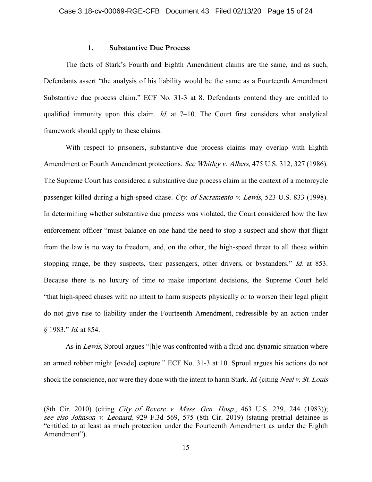#### **1. Substantive Due Process**

The facts of Stark's Fourth and Eighth Amendment claims are the same, and as such, Defendants assert "the analysis of his liability would be the same as a Fourteenth Amendment Substantive due process claim." ECF No. 31-3 at 8. Defendants contend they are entitled to qualified immunity upon this claim. *Id.* at  $7-10$ . The Court first considers what analytical framework should apply to these claims.

With respect to prisoners, substantive due process claims may overlap with Eighth Amendment or Fourth Amendment protections. See Whitley v. Albers, 475 U.S. 312, 327 (1986). The Supreme Court has considered a substantive due process claim in the context of a motorcycle passenger killed during a high-speed chase. Cty. of Sacramento v. Lewis, 523 U.S. 833 (1998). In determining whether substantive due process was violated, the Court considered how the law enforcement officer "must balance on one hand the need to stop a suspect and show that flight from the law is no way to freedom, and, on the other, the high-speed threat to all those within stopping range, be they suspects, their passengers, other drivers, or bystanders." *Id.* at 853. Because there is no luxury of time to make important decisions, the Supreme Court held "that high-speed chases with no intent to harm suspects physically or to worsen their legal plight do not give rise to liability under the Fourteenth Amendment, redressible by an action under § 1983." Id. at 854.

As in *Lewis*, Sproul argues "[h]e was confronted with a fluid and dynamic situation where an armed robber might [evade] capture." ECF No. 31-3 at 10. Sproul argues his actions do not shock the conscience, nor were they done with the intent to harm Stark. Id. (citing Neal v. St. Louis

 $\overline{a}$ 

<sup>(8</sup>th Cir. 2010) (citing City of Revere v. Mass. Gen. Hosp., 463 U.S. 239, 244 (1983)); see also Johnson v. Leonard, 929 F.3d 569, 575 (8th Cir. 2019) (stating pretrial detainee is "entitled to at least as much protection under the Fourteenth Amendment as under the Eighth Amendment").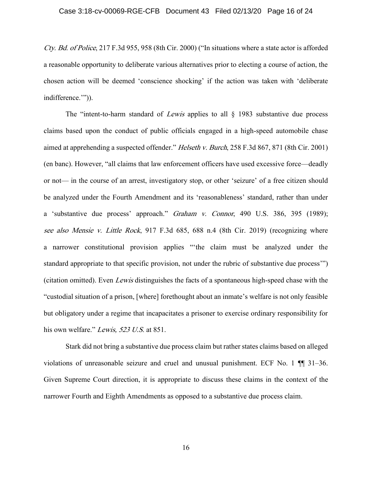Cty. Bd. of Police, 217 F.3d 955, 958 (8th Cir. 2000) ("In situations where a state actor is afforded a reasonable opportunity to deliberate various alternatives prior to electing a course of action, the chosen action will be deemed 'conscience shocking' if the action was taken with 'deliberate indifference.'")).

The "intent-to-harm standard of *Lewis* applies to all  $\S$  1983 substantive due process claims based upon the conduct of public officials engaged in a high-speed automobile chase aimed at apprehending a suspected offender." Helseth v. Burch, 258 F.3d 867, 871 (8th Cir. 2001) (en banc). However, "all claims that law enforcement officers have used excessive force––deadly or not–– in the course of an arrest, investigatory stop, or other 'seizure' of a free citizen should be analyzed under the Fourth Amendment and its 'reasonableness' standard, rather than under a 'substantive due process' approach." Graham v. Connor, 490 U.S. 386, 395 (1989); see also Mensie v. Little Rock, 917 F.3d 685, 688 n.4 (8th Cir. 2019) (recognizing where a narrower constitutional provision applies "'the claim must be analyzed under the standard appropriate to that specific provision, not under the rubric of substantive due process'") (citation omitted). Even Lewis distinguishes the facts of a spontaneous high-speed chase with the "custodial situation of a prison, [where] forethought about an inmate's welfare is not only feasible but obligatory under a regime that incapacitates a prisoner to exercise ordinary responsibility for his own welfare." Lewis, 523 U.S. at 851.

Stark did not bring a substantive due process claim but rather states claims based on alleged violations of unreasonable seizure and cruel and unusual punishment. ECF No. 1 ¶¶ 31–36. Given Supreme Court direction, it is appropriate to discuss these claims in the context of the narrower Fourth and Eighth Amendments as opposed to a substantive due process claim.

16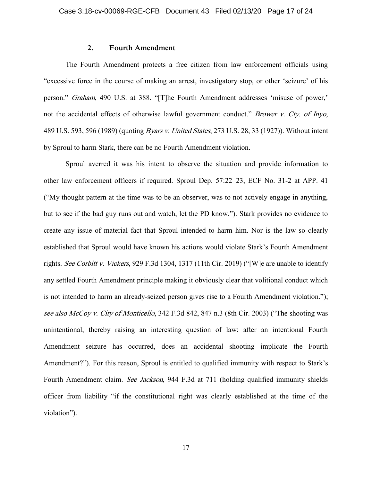## **2. Fourth Amendment**

The Fourth Amendment protects a free citizen from law enforcement officials using "excessive force in the course of making an arrest, investigatory stop, or other 'seizure' of his person." Graham, 490 U.S. at 388. "[T]he Fourth Amendment addresses 'misuse of power,' not the accidental effects of otherwise lawful government conduct." Brower v. Cty. of Inyo, 489 U.S. 593, 596 (1989) (quoting Byars v. United States, 273 U.S. 28, 33 (1927)). Without intent by Sproul to harm Stark, there can be no Fourth Amendment violation.

Sproul averred it was his intent to observe the situation and provide information to other law enforcement officers if required. Sproul Dep. 57:22–23, ECF No. 31-2 at APP. 41 ("My thought pattern at the time was to be an observer, was to not actively engage in anything, but to see if the bad guy runs out and watch, let the PD know."). Stark provides no evidence to create any issue of material fact that Sproul intended to harm him. Nor is the law so clearly established that Sproul would have known his actions would violate Stark's Fourth Amendment rights. See Corbitt v. Vickers, 929 F.3d 1304, 1317 (11th Cir. 2019) ("[W] e are unable to identify any settled Fourth Amendment principle making it obviously clear that volitional conduct which is not intended to harm an already-seized person gives rise to a Fourth Amendment violation."); see also McCoy v. City of Monticello, 342 F.3d 842, 847 n.3 (8th Cir. 2003) ("The shooting was unintentional, thereby raising an interesting question of law: after an intentional Fourth Amendment seizure has occurred, does an accidental shooting implicate the Fourth Amendment?"). For this reason, Sproul is entitled to qualified immunity with respect to Stark's Fourth Amendment claim. See Jackson, 944 F.3d at 711 (holding qualified immunity shields officer from liability "if the constitutional right was clearly established at the time of the violation").

17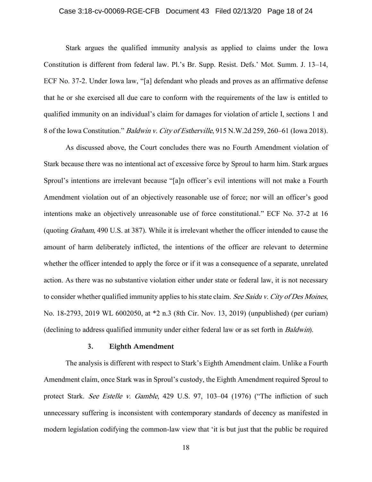## Case 3:18-cv-00069-RGE-CFB Document 43 Filed 02/13/20 Page 18 of 24

Stark argues the qualified immunity analysis as applied to claims under the Iowa Constitution is different from federal law. Pl.'s Br. Supp. Resist. Defs.' Mot. Summ. J. 13–14, ECF No. 37-2. Under Iowa law, "[a] defendant who pleads and proves as an affirmative defense that he or she exercised all due care to conform with the requirements of the law is entitled to qualified immunity on an individual's claim for damages for violation of article I, sections 1 and 8 of the Iowa Constitution." Baldwin v. City of Estherville, 915 N.W.2d 259, 260–61 (Iowa 2018).

As discussed above, the Court concludes there was no Fourth Amendment violation of Stark because there was no intentional act of excessive force by Sproul to harm him. Stark argues Sproul's intentions are irrelevant because "[a]n officer's evil intentions will not make a Fourth Amendment violation out of an objectively reasonable use of force; nor will an officer's good intentions make an objectively unreasonable use of force constitutional." ECF No. 37-2 at 16 (quoting Graham, 490 U.S. at 387). While it is irrelevant whether the officer intended to cause the amount of harm deliberately inflicted, the intentions of the officer are relevant to determine whether the officer intended to apply the force or if it was a consequence of a separate, unrelated action. As there was no substantive violation either under state or federal law, it is not necessary to consider whether qualified immunity applies to his state claim. See Saidu v. City of Des Moines, No. 18-2793, 2019 WL 6002050, at \*2 n.3 (8th Cir. Nov. 13, 2019) (unpublished) (per curiam) (declining to address qualified immunity under either federal law or as set forth in Baldwin).

## **3. Eighth Amendment**

The analysis is different with respect to Stark's Eighth Amendment claim. Unlike a Fourth Amendment claim, once Stark was in Sproul's custody, the Eighth Amendment required Sproul to protect Stark. See Estelle v. Gamble, 429 U.S. 97, 103-04 (1976) ("The infliction of such unnecessary suffering is inconsistent with contemporary standards of decency as manifested in modern legislation codifying the common-law view that 'it is but just that the public be required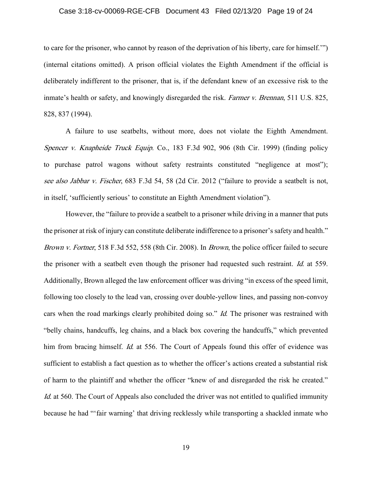## Case 3:18-cv-00069-RGE-CFB Document 43 Filed 02/13/20 Page 19 of 24

to care for the prisoner, who cannot by reason of the deprivation of his liberty, care for himself.'") (internal citations omitted). A prison official violates the Eighth Amendment if the official is deliberately indifferent to the prisoner, that is, if the defendant knew of an excessive risk to the inmate's health or safety, and knowingly disregarded the risk. Farmer v. Brennan, 511 U.S. 825, 828, 837 (1994).

A failure to use seatbelts, without more, does not violate the Eighth Amendment. Spencer v. Knapheide Truck Equip. Co., 183 F.3d 902, 906 (8th Cir. 1999) (finding policy to purchase patrol wagons without safety restraints constituted "negligence at most"); see also Jabbar v. Fischer, 683 F.3d 54, 58 (2d Cir. 2012 ("failure to provide a seatbelt is not, in itself, 'sufficiently serious' to constitute an Eighth Amendment violation").

However, the "failure to provide a seatbelt to a prisoner while driving in a manner that puts the prisoner at risk of injury can constitute deliberate indifference to a prisoner's safety and health." Brown v. Fortner, 518 F.3d 552, 558 (8th Cir. 2008). In Brown, the police officer failed to secure the prisoner with a seatbelt even though the prisoner had requested such restraint. Id. at 559. Additionally, Brown alleged the law enforcement officer was driving "in excess of the speed limit, following too closely to the lead van, crossing over double-yellow lines, and passing non-convoy cars when the road markings clearly prohibited doing so." *Id*. The prisoner was restrained with "belly chains, handcuffs, leg chains, and a black box covering the handcuffs," which prevented him from bracing himself. *Id.* at 556. The Court of Appeals found this offer of evidence was sufficient to establish a fact question as to whether the officer's actions created a substantial risk of harm to the plaintiff and whether the officer "knew of and disregarded the risk he created." Id. at 560. The Court of Appeals also concluded the driver was not entitled to qualified immunity because he had "'fair warning' that driving recklessly while transporting a shackled inmate who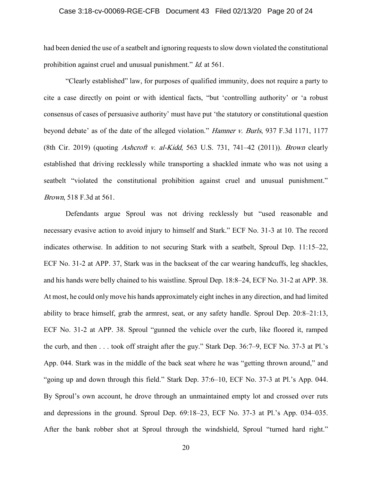## Case 3:18-cv-00069-RGE-CFB Document 43 Filed 02/13/20 Page 20 of 24

had been denied the use of a seatbelt and ignoring requests to slow down violated the constitutional prohibition against cruel and unusual punishment." Id. at 561.

"Clearly established" law, for purposes of qualified immunity, does not require a party to cite a case directly on point or with identical facts, "but 'controlling authority' or 'a robust consensus of cases of persuasive authority' must have put 'the statutory or constitutional question beyond debate' as of the date of the alleged violation." Hamner v. Burls, 937 F.3d 1171, 1177 (8th Cir. 2019) (quoting Ashcroft v. al-Kidd, 563 U.S. 731, 741–42 (2011)). Brown clearly established that driving recklessly while transporting a shackled inmate who was not using a seatbelt "violated the constitutional prohibition against cruel and unusual punishment." Brown, 518 F.3d at 561.

Defendants argue Sproul was not driving recklessly but "used reasonable and necessary evasive action to avoid injury to himself and Stark." ECF No. 31-3 at 10. The record indicates otherwise. In addition to not securing Stark with a seatbelt, Sproul Dep. 11:15–22, ECF No. 31-2 at APP. 37, Stark was in the backseat of the car wearing handcuffs, leg shackles, and his hands were belly chained to his waistline. Sproul Dep. 18:8–24, ECF No. 31-2 at APP. 38. At most, he could only move his hands approximately eight inches in any direction, and had limited ability to brace himself, grab the armrest, seat, or any safety handle. Sproul Dep. 20:8–21:13, ECF No. 31-2 at APP. 38. Sproul "gunned the vehicle over the curb, like floored it, ramped the curb, and then . . . took off straight after the guy." Stark Dep. 36:7–9, ECF No. 37-3 at Pl.'s App. 044. Stark was in the middle of the back seat where he was "getting thrown around," and "going up and down through this field." Stark Dep. 37:6–10, ECF No. 37-3 at Pl.'s App. 044. By Sproul's own account, he drove through an unmaintained empty lot and crossed over ruts and depressions in the ground. Sproul Dep. 69:18–23, ECF No. 37-3 at Pl.'s App. 034–035. After the bank robber shot at Sproul through the windshield, Sproul "turned hard right."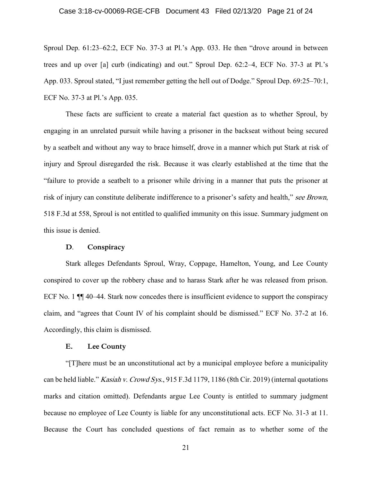## Case 3:18-cv-00069-RGE-CFB Document 43 Filed 02/13/20 Page 21 of 24

Sproul Dep. 61:23–62:2, ECF No. 37-3 at Pl.'s App. 033. He then "drove around in between trees and up over [a] curb (indicating) and out." Sproul Dep. 62:2–4, ECF No. 37-3 at Pl.'s App. 033. Sproul stated, "I just remember getting the hell out of Dodge." Sproul Dep. 69:25–70:1, ECF No. 37-3 at Pl.'s App. 035.

These facts are sufficient to create a material fact question as to whether Sproul, by engaging in an unrelated pursuit while having a prisoner in the backseat without being secured by a seatbelt and without any way to brace himself, drove in a manner which put Stark at risk of injury and Sproul disregarded the risk. Because it was clearly established at the time that the "failure to provide a seatbelt to a prisoner while driving in a manner that puts the prisoner at risk of injury can constitute deliberate indifference to a prisoner's safety and health," see Brown, 518 F.3d at 558, Sproul is not entitled to qualified immunity on this issue. Summary judgment on this issue is denied.

#### **D**. **Conspiracy**

Stark alleges Defendants Sproul, Wray, Coppage, Hamelton, Young, and Lee County conspired to cover up the robbery chase and to harass Stark after he was released from prison. ECF No. 1  $\P$  40–44. Stark now concedes there is insufficient evidence to support the conspiracy claim, and "agrees that Count IV of his complaint should be dismissed." ECF No. 37-2 at 16. Accordingly, this claim is dismissed.

## **E. Lee County**

"[T]here must be an unconstitutional act by a municipal employee before a municipality can be held liable." *Kasiah v. Crowd Sys.*, 915 F.3d 1179, 1186 (8th Cir. 2019) (internal quotations marks and citation omitted). Defendants argue Lee County is entitled to summary judgment because no employee of Lee County is liable for any unconstitutional acts. ECF No. 31-3 at 11. Because the Court has concluded questions of fact remain as to whether some of the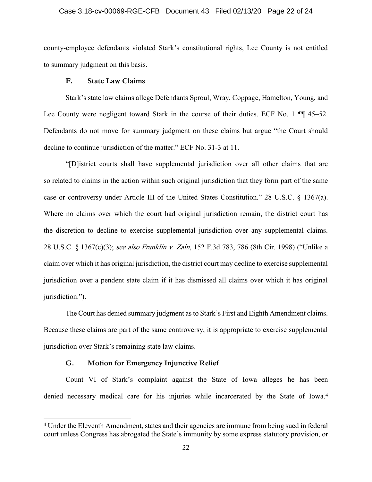## Case 3:18-cv-00069-RGE-CFB Document 43 Filed 02/13/20 Page 22 of 24

county-employee defendants violated Stark's constitutional rights, Lee County is not entitled to summary judgment on this basis.

## **F. State Law Claims**

Stark's state law claims allege Defendants Sproul, Wray, Coppage, Hamelton, Young, and Lee County were negligent toward Stark in the course of their duties. ECF No. 1  $\P$  45–52. Defendants do not move for summary judgment on these claims but argue "the Court should decline to continue jurisdiction of the matter." ECF No. 31-3 at 11.

"[D]istrict courts shall have supplemental jurisdiction over all other claims that are so related to claims in the action within such original jurisdiction that they form part of the same case or controversy under Article III of the United States Constitution." 28 U.S.C. § 1367(a). Where no claims over which the court had original jurisdiction remain, the district court has the discretion to decline to exercise supplemental jurisdiction over any supplemental claims. 28 U.S.C. § 1367(c)(3); see also Franklin v. Zain, 152 F.3d 783, 786 (8th Cir. 1998) ("Unlike a claim over which it has original jurisdiction, the district court may decline to exercise supplemental jurisdiction over a pendent state claim if it has dismissed all claims over which it has original jurisdiction.").

The Court has denied summary judgment as to Stark's First and Eighth Amendment claims. Because these claims are part of the same controversy, it is appropriate to exercise supplemental jurisdiction over Stark's remaining state law claims.

## **G. Motion for Emergency Injunctive Relief**

 $\overline{a}$ 

Count VI of Stark's complaint against the State of Iowa alleges he has been denied necessary medical care for his injuries while incarcerated by the State of Iowa.<sup>4</sup>

<sup>4</sup> Under the Eleventh Amendment, states and their agencies are immune from being sued in federal court unless Congress has abrogated the State's immunity by some express statutory provision, or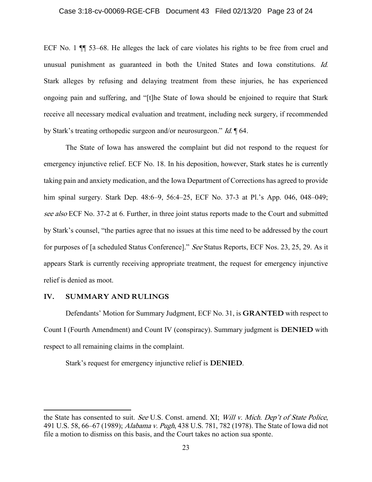## Case 3:18-cv-00069-RGE-CFB Document 43 Filed 02/13/20 Page 23 of 24

ECF No. 1 ¶¶ 53–68. He alleges the lack of care violates his rights to be free from cruel and unusual punishment as guaranteed in both the United States and Iowa constitutions. Id. Stark alleges by refusing and delaying treatment from these injuries, he has experienced ongoing pain and suffering, and "[t]he State of Iowa should be enjoined to require that Stark receive all necessary medical evaluation and treatment, including neck surgery, if recommended by Stark's treating orthopedic surgeon and/or neurosurgeon." Id. ¶ 64.

The State of Iowa has answered the complaint but did not respond to the request for emergency injunctive relief. ECF No. 18. In his deposition, however, Stark states he is currently taking pain and anxiety medication, and the Iowa Department of Corrections has agreed to provide him spinal surgery. Stark Dep. 48:6–9, 56:4–25, ECF No. 37-3 at Pl.'s App. 046, 048–049; see also ECF No. 37-2 at 6. Further, in three joint status reports made to the Court and submitted by Stark's counsel, "the parties agree that no issues at this time need to be addressed by the court for purposes of [a scheduled Status Conference]." See Status Reports, ECF Nos. 23, 25, 29. As it appears Stark is currently receiving appropriate treatment, the request for emergency injunctive relief is denied as moot.

## **IV. SUMMARY AND RULINGS**

 $\overline{a}$ 

Defendants' Motion for Summary Judgment, ECF No. 31, is **GRANTED** with respect to Count I (Fourth Amendment) and Count IV (conspiracy). Summary judgment is **DENIED** with respect to all remaining claims in the complaint.

Stark's request for emergency injunctive relief is **DENIED**.

the State has consented to suit. See U.S. Const. amend. XI; Will v. Mich. Dep't of State Police, 491 U.S. 58, 66–67 (1989); Alabama v. Pugh, 438 U.S. 781, 782 (1978). The State of Iowa did not file a motion to dismiss on this basis, and the Court takes no action sua sponte.